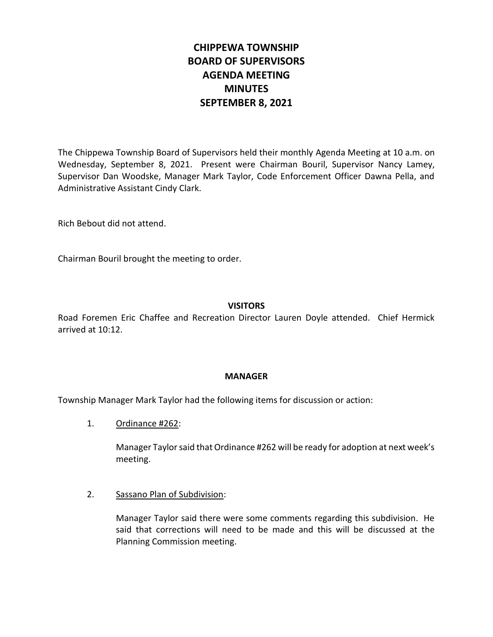# **CHIPPEWA TOWNSHIP BOARD OF SUPERVISORS AGENDA MEETING MINUTES SEPTEMBER 8, 2021**

The Chippewa Township Board of Supervisors held their monthly Agenda Meeting at 10 a.m. on Wednesday, September 8, 2021. Present were Chairman Bouril, Supervisor Nancy Lamey, Supervisor Dan Woodske, Manager Mark Taylor, Code Enforcement Officer Dawna Pella, and Administrative Assistant Cindy Clark.

Rich Bebout did not attend.

Chairman Bouril brought the meeting to order.

## **VISITORS**

Road Foremen Eric Chaffee and Recreation Director Lauren Doyle attended. Chief Hermick arrived at 10:12.

#### **MANAGER**

Township Manager Mark Taylor had the following items for discussion or action:

1. Ordinance #262:

Manager Taylor said that Ordinance #262 will be ready for adoption at next week's meeting.

#### 2. Sassano Plan of Subdivision:

Manager Taylor said there were some comments regarding this subdivision. He said that corrections will need to be made and this will be discussed at the Planning Commission meeting.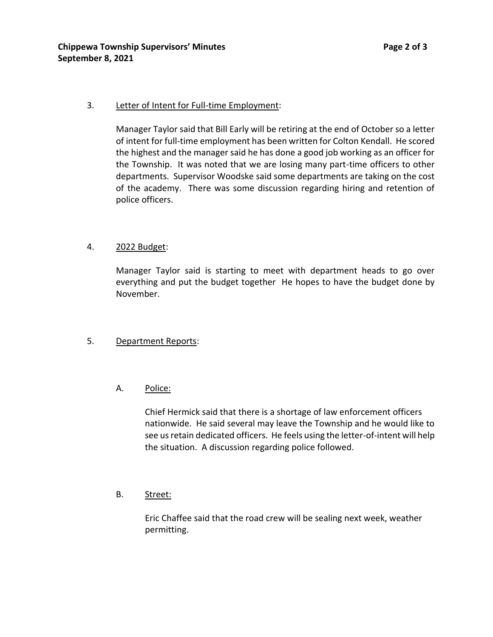# 3. Letter of Intent for Full-time Employment:

Manager Taylor said that Bill Early will be retiring at the end of October so a letter of intent for full-time employment has been written for Colton Kendall. He scored the highest and the manager said he has done a good job working as an officer for the Township. It was noted that we are losing many part-time officers to other departments. Supervisor Woodske said some departments are taking on the cost of the academy. There was some discussion regarding hiring and retention of police officers.

# 4. 2022 Budget:

Manager Taylor said is starting to meet with department heads to go over everything and put the budget together He hopes to have the budget done by November.

## 5. Department Reports:

# A. Police:

Chief Hermick said that there is a shortage of law enforcement officers nationwide. He said several may leave the Township and he would like to see us retain dedicated officers. He feels using the letter-of-intent will help the situation. A discussion regarding police followed.

## B. Street:

Eric Chaffee said that the road crew will be sealing next week, weather permitting.